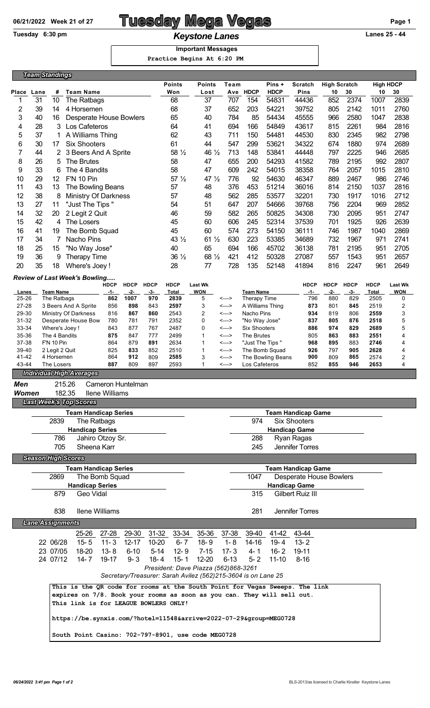# 06/21/2022 Week 21 of 27 **Tuesday Mega Vegas Page 1** Page 1

## Tuesday 6:30 pm<br> **Keystone Lanes CONFIGURE 25 - 44 Important Messages**

 **Practice Begins At 6:20 PM**

| <b>Team Standings</b> |                         |                             |                                                                             |                                            |             |             |                       |                                                                                                       |                |                               |                        |                                                      |             |                              |              |                |  |
|-----------------------|-------------------------|-----------------------------|-----------------------------------------------------------------------------|--------------------------------------------|-------------|-------------|-----------------------|-------------------------------------------------------------------------------------------------------|----------------|-------------------------------|------------------------|------------------------------------------------------|-------------|------------------------------|--------------|----------------|--|
|                       |                         |                             |                                                                             |                                            |             |             |                       | <b>Points</b>                                                                                         |                |                               |                        |                                                      |             |                              |              |                |  |
| Place                 | Lane                    | #                           | <b>Team Name</b>                                                            |                                            |             |             | <b>Points</b><br>Won  | Team<br>Ave                                                                                           | <b>HDCP</b>    | Pins +<br><b>HDCP</b>         | <b>Scratch</b><br>Pins | <b>High Scratch</b><br>10                            | 30          | <b>High HDCP</b><br>30<br>10 |              |                |  |
| 1                     | 31                      | 10                          | The Ratbags                                                                 |                                            |             |             | 68                    | Lost<br>37                                                                                            | 707            | 154                           | 54831                  | 44436                                                | 852         | 2374                         | 1007         | 2839           |  |
| $\overline{2}$        | 39                      | 14                          | 4 Horsemen                                                                  |                                            |             |             | 68                    | 37                                                                                                    | 652            | 203                           | 54221                  | 39752                                                | 805         | 2142                         | 1011         | 2760           |  |
| 3                     | 40                      | 16                          | <b>Desperate House Bowlers</b>                                              |                                            |             |             | 65                    | 40                                                                                                    | 784            | 85                            | 54434                  | 45555                                                | 966         | 2580                         | 1047         | 2838           |  |
| 4<br>5                | 28<br>37                | 3<br>1                      | Los Cafeteros<br>A Williams Thing                                           |                                            |             |             | 64<br>62              | 41<br>43                                                                                              | 694<br>711     | 166<br>150                    | 54849<br>54481         | 43617<br>44530                                       | 815<br>830  | 2261<br>2345                 | 984<br>982   | 2816<br>2798   |  |
| 6                     | 30                      | 17                          | <b>Six Shooters</b>                                                         |                                            |             |             | 61                    | 44                                                                                                    | 547            | 299                           | 53621                  | 34322                                                | 674         | 1880                         | 974          | 2689           |  |
| 7                     | 44                      | 2                           | 3 Beers And A Sprite                                                        |                                            |             |             | 58 $\frac{1}{2}$      | 46 $\frac{1}{2}$                                                                                      | 713            | 148                           | 53841                  | 44448                                                | 797         | 2225                         | 946          | 2685           |  |
| 8                     | 26                      | 5                           | The Brutes                                                                  |                                            |             |             | 58                    | 47                                                                                                    | 655            | 200                           | 54293                  | 41582                                                | 789         | 2195                         | 992          | 2807           |  |
| 9                     | 33                      | 6                           | The 4 Bandits                                                               |                                            |             |             | 58                    | 47                                                                                                    | 609            | 242                           | 54015                  | 38358                                                | 764         | 2057                         | 1015         | 2810           |  |
| 10                    | 29                      | 12                          | <b>F'N 10 Pin</b>                                                           |                                            |             |             | 57 <sub>2</sub>       | 47 $\frac{1}{2}$                                                                                      | 776            | 92                            | 54630                  | 46347                                                | 889         | 2467                         | 986          | 2746           |  |
| 11<br>12              | 43<br>38                | 13<br>8                     | The Bowling Beans<br><b>Ministry Of Darkness</b>                            |                                            |             |             | 57<br>57              | 48<br>48                                                                                              | 376<br>562     | 453<br>285                    | 51214<br>53577         | 36016<br>32201                                       | 814<br>730  | 2150<br>1917                 | 1037<br>1016 | 2816<br>2712   |  |
| 13                    | 27                      | 11                          | "Just The Tips"                                                             |                                            |             |             | 54                    | 51                                                                                                    | 647            | 207                           | 54666                  | 39768                                                | 756         | 2204                         | 969          | 2852           |  |
| 14                    | 32                      | 20                          | 2 Legit 2 Quit                                                              |                                            |             |             | 46                    | 59                                                                                                    | 582            | 265                           | 50825                  | 34308                                                | 730         | 2095                         | 951          | 2747           |  |
| 15                    | 42                      | 4                           | The Losers                                                                  |                                            |             |             | 45                    | 60                                                                                                    | 606            | 245                           | 52314                  | 37539                                                | 701         | 1925                         | 926          | 2639           |  |
| 16                    | 41                      | 19                          | The Bomb Squad                                                              |                                            |             |             | 45                    | 60                                                                                                    | 574            | 273                           | 54150                  | 36111                                                | 746         | 1987                         | 1040         | 2869           |  |
| 17                    | 34                      | 7                           | Nacho Pins                                                                  |                                            |             |             | 43 $\frac{1}{2}$      | 61 1/2                                                                                                | 630            | 223                           | 53385                  | 34689                                                | 732         | 1967                         | 971          | 2741           |  |
| 18                    | 25<br>36                | 15                          | "No Way Jose"                                                               |                                            |             |             | 40                    | 65<br>68 1/2                                                                                          | 694<br>421     | 166                           | 45702                  | 36138                                                | 781         | 2195                         | 951          | 2705           |  |
| 19<br>20              | 35                      | 9<br>18                     | <b>Therapy Time</b><br>Where's Joey!                                        |                                            |             |             | $36\frac{1}{2}$<br>28 | 77                                                                                                    | 728            | 412<br>135                    | 50328<br>52148         | 27087<br>41894                                       | 557<br>816  | 1543<br>2247                 | 951<br>961   | 2657<br>2649   |  |
|                       |                         |                             |                                                                             |                                            |             |             |                       |                                                                                                       |                |                               |                        |                                                      |             |                              |              |                |  |
|                       |                         |                             | Review of Last Week's Bowling                                               | <b>HDCP</b>                                | <b>HDCP</b> | <b>HDCP</b> | <b>HDCP</b>           | <b>Last Wk</b>                                                                                        |                |                               |                        | <b>HDCP</b>                                          | <b>HDCP</b> | <b>HDCP</b>                  | <b>HDCP</b>  | <b>Last Wk</b> |  |
| Lanes                 |                         | <b>Team Name</b>            |                                                                             | -1-                                        | $-2-$       | $-3-$       | <b>Total</b>          | <b>WON</b>                                                                                            |                | <b>Team Name</b>              |                        | -1-                                                  | -2-         | -3-                          | Total        | <b>WON</b>     |  |
| 25-26<br>27-28        |                         | The Ratbags                 | 3 Beers And A Sprite                                                        | 862<br>856                                 | 1007<br>898 | 970<br>843  | 2839<br>2597          | 5<br>3                                                                                                | <---><br><---> | Therapy Time                  | A Williams Thing       | 796<br>873                                           | 880<br>801  | 829<br>845                   | 2505<br>2519 | 0<br>2         |  |
| 29-30                 |                         |                             | Ministry Of Darkness                                                        | 816                                        | 867         | 860         | 2543                  | $\overline{2}$                                                                                        | <--->          | Nacho Pins                    |                        | 934                                                  | 819         | 806                          | 2559         | 3              |  |
| $31 - 32$             |                         |                             | Desperate House Bow                                                         | 780                                        | 781         | 791         | 2352                  | 0                                                                                                     | <--->          | "No Way Jose"                 |                        | 837                                                  | 805         | 876                          | 2518         | 5              |  |
| 33-34                 |                         |                             | Where's Joey!                                                               | 843                                        | 877         | 767         | 2487                  | 0                                                                                                     | <--->          | <b>Six Shooters</b>           |                        | 886                                                  | 974         | 829                          | 2689         | 5              |  |
| 35-36<br>37-38        |                         | The 4 Bandits<br>F'N 10 Pin |                                                                             | 875<br>864                                 | 847<br>879  | 777<br>891  | 2499<br>2634          | $\mathbf{1}$<br>$\mathbf 1$                                                                           | <---><br><---> | The Brutes<br>"Just The Tips" |                        | 805<br>968                                           | 863<br>895  | 883<br>883                   | 2551<br>2746 | 4<br>4         |  |
| 39-40                 |                         | 2 Legit 2 Quit              |                                                                             | 825                                        | 833         | 852         | 2510                  | 1                                                                                                     | <--->          |                               | The Bomb Squad         | 926                                                  | 797         | 905                          | 2628         | 4              |  |
| 41-42                 |                         | 4 Horsemen                  |                                                                             | 864                                        | 912         | 809         | 2585                  | 3                                                                                                     | <--->          |                               | The Bowling Beans      | 900                                                  | 809         | 865                          | 2574         | 2              |  |
| 43-44                 |                         | The Losers                  |                                                                             | 887                                        | 809         | 897         | 2593                  | $\mathbf{1}$                                                                                          | <--->          | Los Cafeteros                 |                        | 852                                                  | 855         | 946                          | 2653         | 4              |  |
|                       |                         |                             | <b>Individual High Averages</b>                                             |                                            |             |             |                       |                                                                                                       |                |                               |                        |                                                      |             |                              |              |                |  |
| Men<br><b>Women</b>   |                         |                             | 215.26<br>182.35                                                            | Cameron Huntelman<br><b>Ilene Williams</b> |             |             |                       |                                                                                                       |                |                               |                        |                                                      |             |                              |              |                |  |
|                       |                         |                             | <b>Last Week's Top Scores</b>                                               |                                            |             |             |                       |                                                                                                       |                |                               |                        |                                                      |             |                              |              |                |  |
|                       |                         |                             | <b>Team Handicap Series</b>                                                 |                                            |             |             |                       |                                                                                                       |                |                               |                        | <b>Team Handicap Game</b>                            |             |                              |              |                |  |
|                       |                         | 2839                        |                                                                             | The Ratbags                                |             |             |                       |                                                                                                       |                | 974                           |                        | <b>Six Shooters</b>                                  |             |                              |              |                |  |
|                       |                         |                             | <b>Handicap Series</b>                                                      |                                            |             |             |                       |                                                                                                       |                |                               |                        |                                                      |             |                              |              |                |  |
|                       |                         | 786                         |                                                                             | Jahiro Otzoy Sr.                           |             |             |                       |                                                                                                       |                | 288                           |                        | Ryan Ragas                                           |             |                              |              |                |  |
|                       |                         | 705                         | Sheena Karr                                                                 |                                            |             |             |                       |                                                                                                       |                | 245                           |                        | Jennifer Torres                                      |             |                              |              |                |  |
|                       |                         |                             | <b>Season High Scores</b>                                                   |                                            |             |             |                       |                                                                                                       |                |                               |                        |                                                      |             |                              |              |                |  |
|                       |                         | 2869                        | <b>Team Handicap Series</b>                                                 | The Bomb Squad                             |             |             |                       |                                                                                                       |                | 1047                          |                        | <b>Team Handicap Game</b><br>Desperate House Bowlers |             |                              |              |                |  |
|                       |                         |                             | <b>Handicap Series</b>                                                      |                                            |             |             |                       |                                                                                                       |                |                               | <b>Handicap Game</b>   |                                                      |             |                              |              |                |  |
|                       |                         | 879                         | Geo Vidal                                                                   |                                            |             |             |                       |                                                                                                       |                | 315                           |                        | Gilbert Ruiz III                                     |             |                              |              |                |  |
|                       |                         |                             |                                                                             |                                            |             |             |                       |                                                                                                       |                |                               |                        |                                                      |             |                              |              |                |  |
|                       |                         | 838                         |                                                                             | <b>Ilene Williams</b>                      |             |             |                       |                                                                                                       |                | 281                           |                        | Jennifer Torres                                      |             |                              |              |                |  |
|                       | <b>Lane Assignments</b> |                             |                                                                             |                                            |             |             |                       |                                                                                                       |                |                               |                        |                                                      |             |                              |              |                |  |
|                       |                         |                             | 25-26                                                                       | 27-28                                      |             |             | 29-30 31-32 33-34     | 35-36                                                                                                 | 37-38          | 39-40                         | 41-42                  | 43-44                                                |             |                              |              |                |  |
|                       |                         | 22 06/28                    | $15 - 5$                                                                    | $11 - 3$                                   | $12 - 17$   | $10 - 20$   | $6 - 7$               | $18 - 9$                                                                                              | $1 - 8$        | $14 - 16$                     | $19 - 4$               | $13 - 2$                                             |             |                              |              |                |  |
|                       |                         | 23 07/05                    | 18-20                                                                       | $13 - 8$                                   | $6 - 10$    | $5 - 14$    | $12 - 9$              | $7 - 15$                                                                                              | $17 - 3$       | $4 - 1$                       | $16 - 2$               | 19-11                                                |             |                              |              |                |  |
|                       |                         | 24 07/12                    | $14 - 7$                                                                    | 19-17                                      | $9 - 3$     | $18 - 4$    | $15 - 1$              | $12 - 20$                                                                                             | $6 - 13$       | $5 - 2$                       | $11 - 10$              | $8 - 16$                                             |             |                              |              |                |  |
|                       |                         |                             |                                                                             |                                            |             |             |                       | President: Dave Piazza (562)868-3261<br>Secretary/Treasurer: Sarah Avilez (562)215-3604 is on Lane 25 |                |                               |                        |                                                      |             |                              |              |                |  |
|                       |                         |                             | This is the QR code for rooms at the South Point for Vegas Sweeps. The link |                                            |             |             |                       |                                                                                                       |                |                               |                        |                                                      |             |                              |              |                |  |
|                       |                         |                             | expires on 7/8. Book your rooms as soon as you can. They will sell out.     |                                            |             |             |                       |                                                                                                       |                |                               |                        |                                                      |             |                              |              |                |  |
|                       |                         |                             | This link is for LEAGUE BOWLERS ONLY!                                       |                                            |             |             |                       |                                                                                                       |                |                               |                        |                                                      |             |                              |              |                |  |
|                       |                         |                             |                                                                             |                                            |             |             |                       |                                                                                                       |                |                               |                        |                                                      |             |                              |              |                |  |
|                       |                         |                             | https://be.synxis.com/?hotel=11548&arrive=2022-07-29&group=MEG0728          |                                            |             |             |                       |                                                                                                       |                |                               |                        |                                                      |             |                              |              |                |  |
|                       |                         |                             | South Point Casino: 702-797-8901, use code MEG0728                          |                                            |             |             |                       |                                                                                                       |                |                               |                        |                                                      |             |                              |              |                |  |